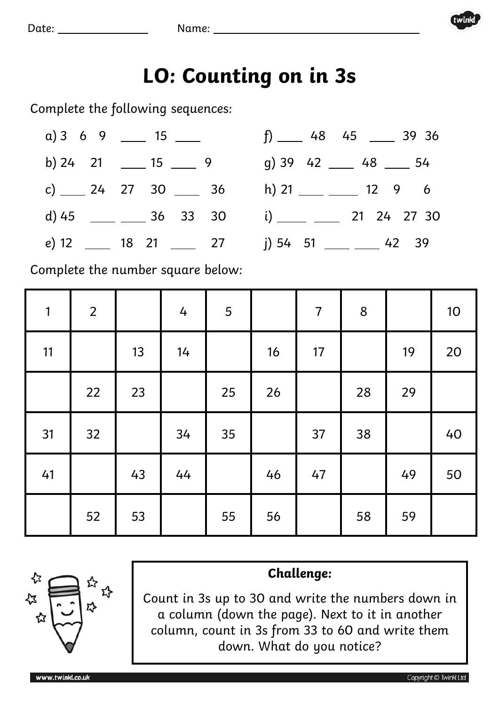

## **LO: Counting on in 3s**

Complete the following sequences:



Complete the number square below:

| $\mathbf{1}$ | $\overline{2}$ |    | 4  | 5  |    | $\overline{7}$ | $\bf 8$ |    | 10 |
|--------------|----------------|----|----|----|----|----------------|---------|----|----|
| 11           |                | 13 | 14 |    | 16 | 17             |         | 19 | 20 |
|              | 22             | 23 |    | 25 | 26 |                | 28      | 29 |    |
| 31           | 32             |    | 34 | 35 |    | 37             | 38      |    | 40 |
| 41           |                | 43 | 44 |    | 46 | 47             |         | 49 | 50 |
|              | 52             | 53 |    | 55 | 56 |                | 58      | 59 |    |



## **Challenge:**

Count in 3s up to 30 and write the numbers down in a column (down the page). Next to it in another column, count in 3s from 33 to 60 and write them down. What do you notice?